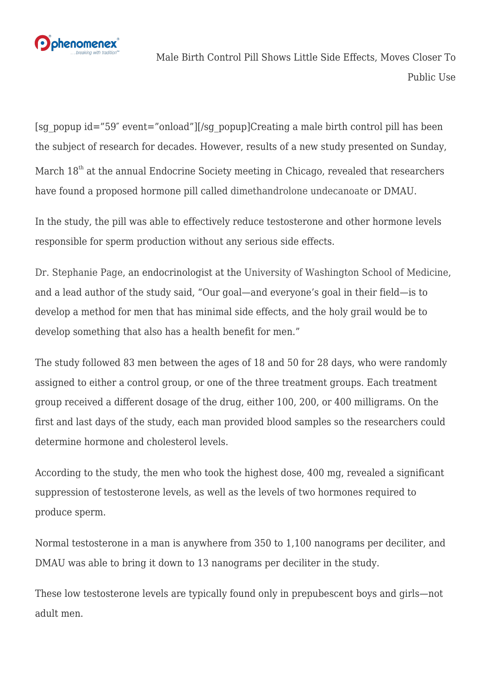

Male Birth Control Pill Shows Little Side Effects, Moves Closer To Public Use

[sg\_popup id="59″ event="onload"][/sg\_popup]Creating a male birth control pill has been the subject of research for decades. However, results of a new study presented on Sunday, March  $18<sup>th</sup>$  at the annual Endocrine Society meeting in Chicago, revealed that researchers have found a proposed hormone pill called [dimethandrolone undecanoate](https://en.wikipedia.org/wiki/Dimethandrolone_undecanoate) or DMAU.

In the study, the pill was able to effectively reduce testosterone and other hormone levels responsible for sperm production without any serious side effects.

[Dr. Stephanie Page,](https://www.uwmedicine.org/bios/stephanie-page) an endocrinologist at the [University of Washington School of Medicine,](https://www.uwmedicine.org/education) and a lead author of the study said, "Our goal—and everyone's goal in their field—is to develop a method for men that has minimal side effects, and the holy grail would be to develop something that also has a health benefit for men."

The study followed 83 men between the ages of 18 and 50 for 28 days, who were randomly assigned to either a control group, or one of the three treatment groups. Each treatment group received a different dosage of the drug, either 100, 200, or 400 milligrams. On the first and last days of the study, each man provided blood samples so the researchers could determine hormone and cholesterol levels.

According to the study, the men who took the highest dose, 400 mg, revealed a significant suppression of testosterone levels, as well as the levels of two hormones required to produce sperm.

Normal testosterone in a man is anywhere from 350 to 1,100 nanograms per deciliter, and DMAU was able to bring it down to 13 nanograms per deciliter in the study.

These low testosterone levels are typically found only in prepubescent boys and girls—not adult men.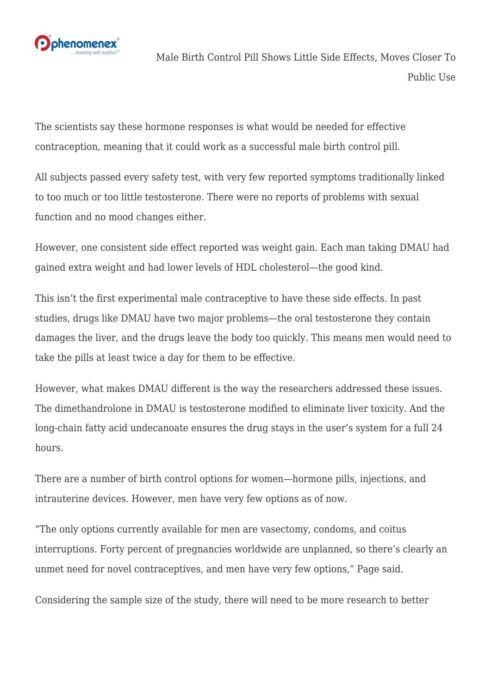

Male Birth Control Pill Shows Little Side Effects, Moves Closer To Public Use

The scientists say these hormone responses is what would be needed for effective contraception, meaning that it could work as a successful male birth control pill.

All subjects passed every safety test, with very few reported symptoms traditionally linked to too much or too little testosterone. There were no reports of problems with sexual function and no mood changes either.

However, one consistent side effect reported was weight gain. Each man taking DMAU had gained extra weight and had lower levels of HDL cholesterol—the good kind.

This isn't the first experimental male contraceptive to have these side effects. In past studies, drugs like DMAU have two major problems—the oral testosterone they contain damages the liver, and the drugs leave the body too quickly. This means men would need to take the pills at least twice a day for them to be effective.

However, what makes DMAU different is the way the researchers addressed these issues. The dimethandrolone in DMAU is testosterone modified to eliminate liver toxicity. And the long-chain fatty acid undecanoate ensures the drug stays in the user's system for a full 24 hours.

There are a number of birth control options for women—hormone pills, injections, and intrauterine devices. However, men have very few options as of now.

"The only options currently available for men are vasectomy, condoms, and coitus interruptions. Forty percent of pregnancies worldwide are unplanned, so there's clearly an unmet need for novel contraceptives, and men have very few options," Page said.

Considering the sample size of the study, there will need to be more research to better